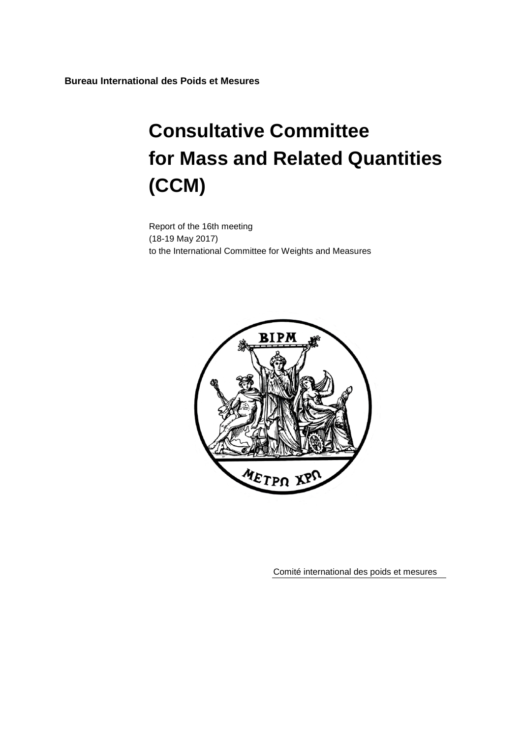**Bureau International des Poids et Mesures**

# **Consultative Committee for Mass and Related Quantities (CCM)**

Report of the 16th meeting (18-19 May 2017) to the International Committee for Weights and Measures



Comité international des poids et mesures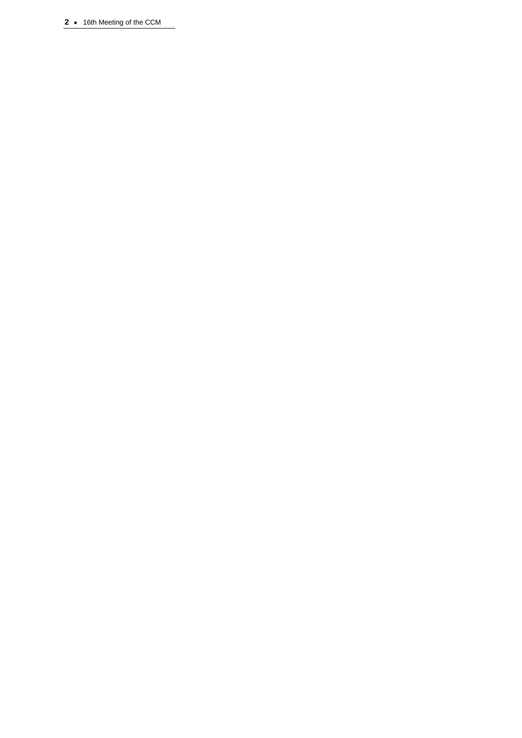**a** 16th Meeting of the CCM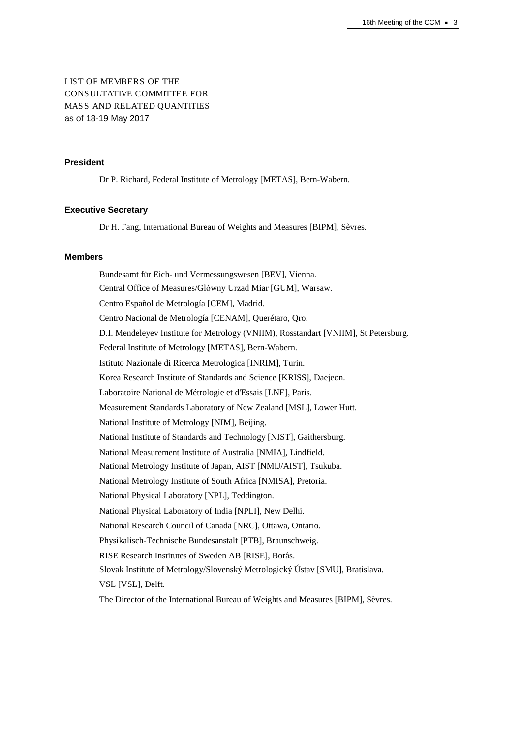LIST OF MEMBERS OF THE CONSULTATIVE COMMITTEE FOR MASS AND RELATED QUANTITIES as of 18-19 May 2017

#### **President**

Dr P. Richard, Federal Institute of Metrology [METAS], Bern-Wabern.

#### **Executive Secretary**

Dr H. Fang, International Bureau of Weights and Measures [BIPM], Sèvres.

#### **Members**

Bundesamt für Eich- und Vermessungswesen [\[BEV\]](http://www.bev.gv.at/), Vienna. Central Office of Measures/Glόwny Urzad Miar [GUM], Warsaw. Centro Español de Metrología [CEM], Madrid. Centro Nacional de Metrología [CENAM], Querétaro, Qro. D.I. Mendeleyev Institute for Metrology (VNIIM), Rosstandart [VNIIM], St Petersburg. Federal Institute of Metrology [METAS], Bern-Wabern. Istituto Nazionale di Ricerca Metrologica [INRIM], Turin. Korea Research Institute of Standards and Science [KRISS], Daejeon. Laboratoire National de Métrologie et d'Essais [LNE], Paris. Measurement Standards Laboratory of New Zealand [MSL], Lower Hutt. National Institute of Metrology [NIM], Beijing. National Institute of Standards and Technology [NIST], Gaithersburg. National Measurement Institute of Australia [NMIA], Lindfield. National Metrology Institute of Japan, AIST [NMIJ/AIST], Tsukuba. National Metrology Institute of South Africa [NMISA], Pretoria. National Physical Laboratory [NPL], Teddington. National Physical Laboratory of India [NPLI], New Delhi. National Research Council of Canada [NRC], Ottawa, Ontario. Physikalisch-Technische Bundesanstalt [PTB], Braunschweig. RISE Research Institutes of Sweden AB [RISE], Borås. Slovak Institute of Metrology/Slovenský Metrologický Ústav [SMU], Bratislava. VSL [VSL], Delft.

The Director of the International Bureau of Weights and Measures [BIPM], Sèvres.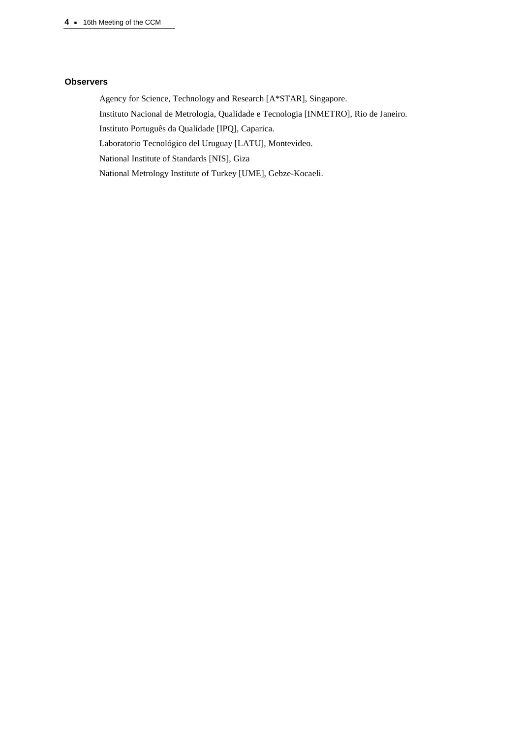## **Observers**

Agency for Science, Technology and Research [A\*STAR], Singapore. Instituto Nacional de Metrologia, Qualidade e Tecnologia [INMETRO], Rio de Janeiro. Instituto Português da Qualidade [IPQ], Caparica. Laboratorio Tecnológico del Uruguay [LATU], Montevideo. National Institute of Standards [NIS], Giza

National Metrology Institute of Turkey [UME], Gebze-Kocaeli.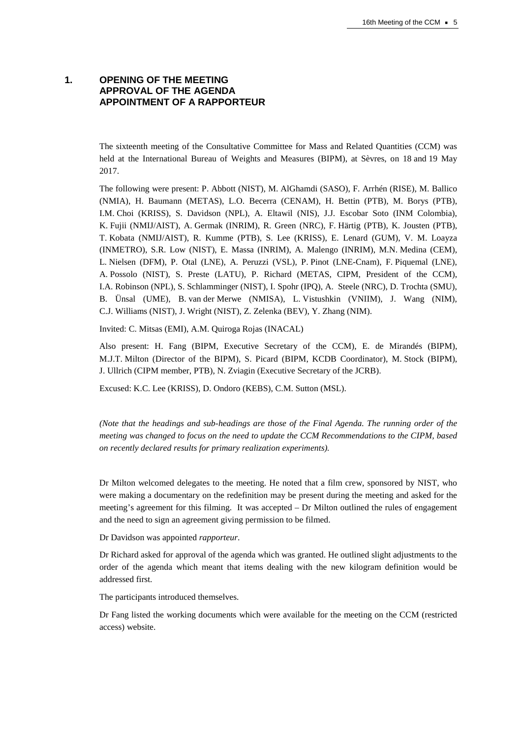# **1. OPENING OF THE MEETING APPROVAL OF THE AGENDA APPOINTMENT OF A RAPPORTEUR**

The sixteenth meeting of the Consultative Committee for Mass and Related Quantities (CCM) was held at the International Bureau of Weights and Measures (BIPM), at Sèvres, on 18 and 19 May 2017.

The following were present: P. Abbott (NIST), M. AlGhamdi (SASO), F. Arrhén (RISE), M. Ballico (NMIA), H. Baumann (METAS), L.O. Becerra (CENAM), H. Bettin (PTB), M. Borys (PTB), I.M. Choi (KRISS), S. Davidson (NPL), A. Eltawil (NIS), J.J. Escobar Soto (INM Colombia), K. Fujii (NMIJ/AIST), A. Germak (INRIM), R. Green (NRC), F. Härtig (PTB), K. Jousten (PTB), T. Kobata (NMIJ/AIST), R. Kumme (PTB), S. Lee (KRISS), E. Lenard (GUM), V. M. Loayza (INMETRO), S.R. Low (NIST), E. Massa (INRIM), A. Malengo (INRIM), M.N. Medina (CEM), L. Nielsen (DFM), P. Otal (LNE), A. Peruzzi (VSL), P. Pinot (LNE-Cnam), F. Piquemal (LNE), A. Possolo (NIST), S. Preste (LATU), P. Richard (METAS, CIPM, President of the CCM), I.A. Robinson (NPL), S. Schlamminger (NIST), I. Spohr (IPQ), A. Steele (NRC), D. Trochta (SMU), B. Ünsal (UME), B. van der Merwe (NMISA), L. Vistushkin (VNIIM), J. Wang (NIM), C.J. Williams (NIST), J. Wright (NIST), Z. Zelenka (BEV), Y. Zhang (NIM).

Invited: C. Mitsas (EMI), A.M. Quiroga Rojas (INACAL)

Also present: H. Fang (BIPM, Executive Secretary of the CCM), E. de Mirandés (BIPM), M.J.T. Milton (Director of the BIPM), S. Picard (BIPM, KCDB Coordinator), M. Stock (BIPM), J. Ullrich (CIPM member, PTB), N. Zviagin (Executive Secretary of the JCRB).

Excused: K.C. Lee (KRISS), D. Ondoro (KEBS), C.M. Sutton (MSL).

*(Note that the headings and sub-headings are those of the Final Agenda. The running order of the meeting was changed to focus on the need to update the CCM Recommendations to the CIPM, based on recently declared results for primary realization experiments).* 

Dr Milton welcomed delegates to the meeting. He noted that a film crew, sponsored by NIST, who were making a documentary on the redefinition may be present during the meeting and asked for the meeting's agreement for this filming. It was accepted – Dr Milton outlined the rules of engagement and the need to sign an agreement giving permission to be filmed.

Dr Davidson was appointed *rapporteur*.

Dr Richard asked for approval of the agenda which was granted. He outlined slight adjustments to the order of the agenda which meant that items dealing with the new kilogram definition would be addressed first.

The participants introduced themselves.

Dr Fang listed the working documents which were available for the meeting on the CCM (restricted access) website.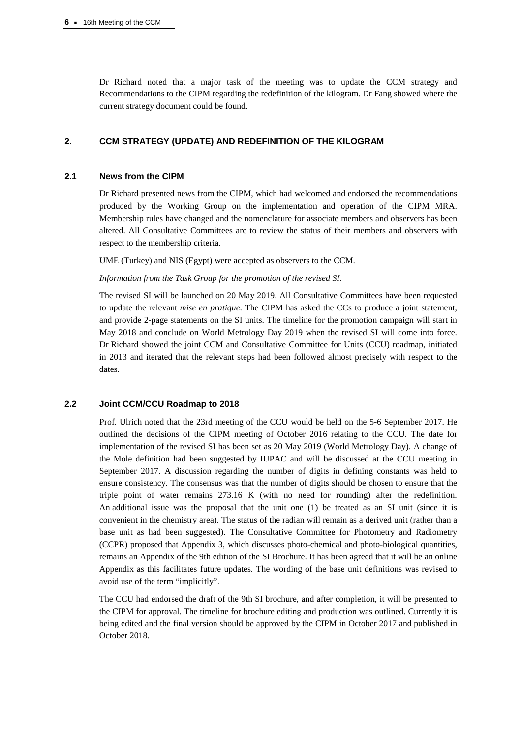Dr Richard noted that a major task of the meeting was to update the CCM strategy and Recommendations to the CIPM regarding the redefinition of the kilogram. Dr Fang showed where the current strategy document could be found.

# **2. CCM STRATEGY (UPDATE) AND REDEFINITION OF THE KILOGRAM**

#### **2.1 News from the CIPM**

Dr Richard presented news from the CIPM, which had welcomed and endorsed the recommendations produced by the Working Group on the implementation and operation of the CIPM MRA. Membership rules have changed and the nomenclature for associate members and observers has been altered. All Consultative Committees are to review the status of their members and observers with respect to the membership criteria.

UME (Turkey) and NIS (Egypt) were accepted as observers to the CCM.

*Information from the Task Group for the promotion of the revised SI.* 

The revised SI will be launched on 20 May 2019. All Consultative Committees have been requested to update the relevant *mise en pratique*. The CIPM has asked the CCs to produce a joint statement, and provide 2-page statements on the SI units. The timeline for the promotion campaign will start in May 2018 and conclude on World Metrology Day 2019 when the revised SI will come into force. Dr Richard showed the joint CCM and Consultative Committee for Units (CCU) roadmap, initiated in 2013 and iterated that the relevant steps had been followed almost precisely with respect to the dates.

## **2.2 Joint CCM/CCU Roadmap to 2018**

Prof. Ulrich noted that the 23rd meeting of the CCU would be held on the 5-6 September 2017. He outlined the decisions of the CIPM meeting of October 2016 relating to the CCU. The date for implementation of the revised SI has been set as 20 May 2019 (World Metrology Day). A change of the Mole definition had been suggested by IUPAC and will be discussed at the CCU meeting in September 2017. A discussion regarding the number of digits in defining constants was held to ensure consistency. The consensus was that the number of digits should be chosen to ensure that the triple point of water remains 273.16 K (with no need for rounding) after the redefinition. An additional issue was the proposal that the unit one (1) be treated as an SI unit (since it is convenient in the chemistry area). The status of the radian will remain as a derived unit (rather than a base unit as had been suggested). The Consultative Committee for Photometry and Radiometry (CCPR) proposed that Appendix 3, which discusses photo-chemical and photo-biological quantities, remains an Appendix of the 9th edition of the SI Brochure. It has been agreed that it will be an online Appendix as this facilitates future updates. The wording of the base unit definitions was revised to avoid use of the term "implicitly".

The CCU had endorsed the draft of the 9th SI brochure, and after completion, it will be presented to the CIPM for approval. The timeline for brochure editing and production was outlined. Currently it is being edited and the final version should be approved by the CIPM in October 2017 and published in October 2018.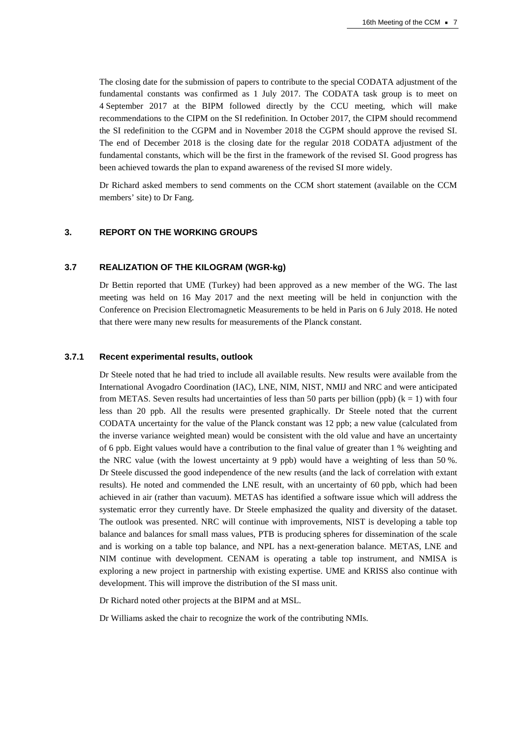The closing date for the submission of papers to contribute to the special CODATA adjustment of the fundamental constants was confirmed as 1 July 2017. The CODATA task group is to meet on 4 September 2017 at the BIPM followed directly by the CCU meeting, which will make recommendations to the CIPM on the SI redefinition. In October 2017, the CIPM should recommend the SI redefinition to the CGPM and in November 2018 the CGPM should approve the revised SI. The end of December 2018 is the closing date for the regular 2018 CODATA adjustment of the fundamental constants, which will be the first in the framework of the revised SI. Good progress has been achieved towards the plan to expand awareness of the revised SI more widely.

Dr Richard asked members to send comments on the CCM short statement (available on the CCM members' site) to Dr Fang.

#### **3. REPORT ON THE WORKING GROUPS**

#### **3.7 REALIZATION OF THE KILOGRAM (WGR-kg)**

Dr Bettin reported that UME (Turkey) had been approved as a new member of the WG. The last meeting was held on 16 May 2017 and the next meeting will be held in conjunction with the Conference on Precision Electromagnetic Measurements to be held in Paris on 6 July 2018. He noted that there were many new results for measurements of the Planck constant.

#### **3.7.1 Recent experimental results, outlook**

Dr Steele noted that he had tried to include all available results. New results were available from the International Avogadro Coordination (IAC), LNE, NIM, NIST, NMIJ and NRC and were anticipated from METAS. Seven results had uncertainties of less than 50 parts per billion (ppb)  $(k = 1)$  with four less than 20 ppb. All the results were presented graphically. Dr Steele noted that the current CODATA uncertainty for the value of the Planck constant was 12 ppb; a new value (calculated from the inverse variance weighted mean) would be consistent with the old value and have an uncertainty of 6 ppb. Eight values would have a contribution to the final value of greater than 1 % weighting and the NRC value (with the lowest uncertainty at 9 ppb) would have a weighting of less than 50 %. Dr Steele discussed the good independence of the new results (and the lack of correlation with extant results). He noted and commended the LNE result, with an uncertainty of 60 ppb, which had been achieved in air (rather than vacuum). METAS has identified a software issue which will address the systematic error they currently have. Dr Steele emphasized the quality and diversity of the dataset. The outlook was presented. NRC will continue with improvements, NIST is developing a table top balance and balances for small mass values, PTB is producing spheres for dissemination of the scale and is working on a table top balance, and NPL has a next-generation balance. METAS, LNE and NIM continue with development. CENAM is operating a table top instrument, and NMISA is exploring a new project in partnership with existing expertise. UME and KRISS also continue with development. This will improve the distribution of the SI mass unit.

Dr Richard noted other projects at the BIPM and at MSL.

Dr Williams asked the chair to recognize the work of the contributing NMIs.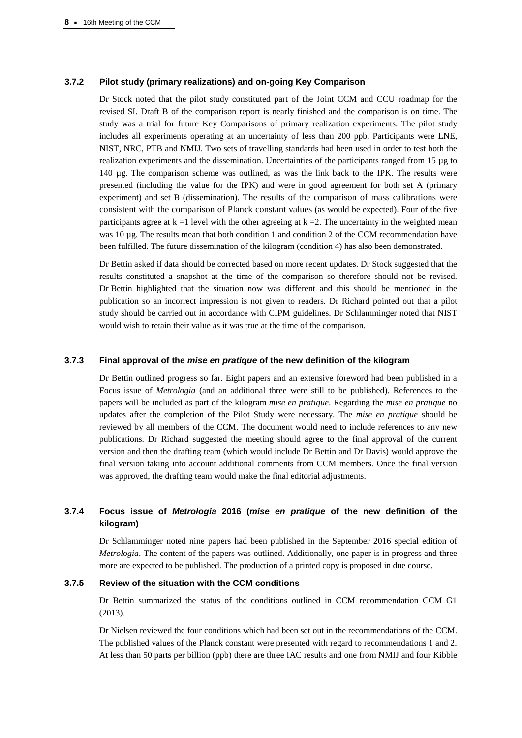#### **3.7.2 Pilot study (primary realizations) and on-going Key Comparison**

Dr Stock noted that the pilot study constituted part of the Joint CCM and CCU roadmap for the revised SI. Draft B of the comparison report is nearly finished and the comparison is on time. The study was a trial for future Key Comparisons of primary realization experiments. The pilot study includes all experiments operating at an uncertainty of less than 200 ppb. Participants were LNE, NIST, NRC, PTB and NMIJ. Two sets of travelling standards had been used in order to test both the realization experiments and the dissemination. Uncertainties of the participants ranged from 15 µg to 140 µg. The comparison scheme was outlined, as was the link back to the IPK. The results were presented (including the value for the IPK) and were in good agreement for both set A (primary experiment) and set B (dissemination). The results of the comparison of mass calibrations were consistent with the comparison of Planck constant values (as would be expected). Four of the five participants agree at  $k = 1$  level with the other agreeing at  $k = 2$ . The uncertainty in the weighted mean was 10 µg. The results mean that both condition 1 and condition 2 of the CCM recommendation have been fulfilled. The future dissemination of the kilogram (condition 4) has also been demonstrated.

Dr Bettin asked if data should be corrected based on more recent updates. Dr Stock suggested that the results constituted a snapshot at the time of the comparison so therefore should not be revised. Dr Bettin highlighted that the situation now was different and this should be mentioned in the publication so an incorrect impression is not given to readers. Dr Richard pointed out that a pilot study should be carried out in accordance with CIPM guidelines. Dr Schlamminger noted that NIST would wish to retain their value as it was true at the time of the comparison.

#### **3.7.3 Final approval of the** *mise en pratique* **of the new definition of the kilogram**

Dr Bettin outlined progress so far. Eight papers and an extensive foreword had been published in a Focus issue of *Metrologia* (and an additional three were still to be published). References to the papers will be included as part of the kilogram *mise en pratique*. Regarding the *mise en pratique* no updates after the completion of the Pilot Study were necessary. The *mise en pratique* should be reviewed by all members of the CCM. The document would need to include references to any new publications. Dr Richard suggested the meeting should agree to the final approval of the current version and then the drafting team (which would include Dr Bettin and Dr Davis) would approve the final version taking into account additional comments from CCM members. Once the final version was approved, the drafting team would make the final editorial adjustments.

# **3.7.4 Focus issue of** *Metrologia* **2016 (***mise en pratique* **of the new definition of the kilogram)**

Dr Schlamminger noted nine papers had been published in the September 2016 special edition of *Metrologia*. The content of the papers was outlined. Additionally, one paper is in progress and three more are expected to be published. The production of a printed copy is proposed in due course.

## **3.7.5 Review of the situation with the CCM conditions**

Dr Bettin summarized the status of the conditions outlined in CCM recommendation CCM G1 (2013).

Dr Nielsen reviewed the four conditions which had been set out in the recommendations of the CCM. The published values of the Planck constant were presented with regard to recommendations 1 and 2. At less than 50 parts per billion (ppb) there are three IAC results and one from NMIJ and four Kibble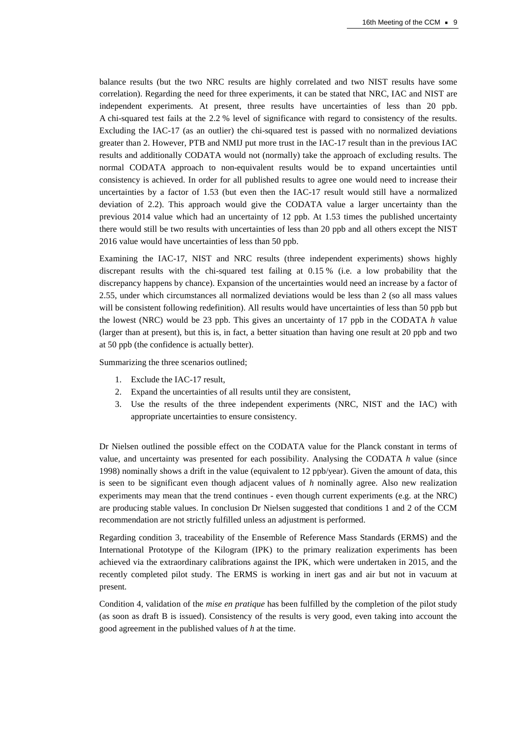balance results (but the two NRC results are highly correlated and two NIST results have some correlation). Regarding the need for three experiments, it can be stated that NRC, IAC and NIST are independent experiments. At present, three results have uncertainties of less than 20 ppb. A chi-squared test fails at the 2.2 % level of significance with regard to consistency of the results. Excluding the IAC-17 (as an outlier) the chi-squared test is passed with no normalized deviations greater than 2. However, PTB and NMIJ put more trust in the IAC-17 result than in the previous IAC results and additionally CODATA would not (normally) take the approach of excluding results. The normal CODATA approach to non-equivalent results would be to expand uncertainties until consistency is achieved. In order for all published results to agree one would need to increase their uncertainties by a factor of 1.53 (but even then the IAC-17 result would still have a normalized deviation of 2.2). This approach would give the CODATA value a larger uncertainty than the previous 2014 value which had an uncertainty of 12 ppb. At 1.53 times the published uncertainty there would still be two results with uncertainties of less than 20 ppb and all others except the NIST 2016 value would have uncertainties of less than 50 ppb.

Examining the IAC-17, NIST and NRC results (three independent experiments) shows highly discrepant results with the chi-squared test failing at 0.15 % (i.e. a low probability that the discrepancy happens by chance). Expansion of the uncertainties would need an increase by a factor of 2.55, under which circumstances all normalized deviations would be less than 2 (so all mass values will be consistent following redefinition). All results would have uncertainties of less than 50 ppb but the lowest (NRC) would be 23 ppb. This gives an uncertainty of 17 ppb in the CODATA *h* value (larger than at present), but this is, in fact, a better situation than having one result at 20 ppb and two at 50 ppb (the confidence is actually better).

Summarizing the three scenarios outlined;

- 1. Exclude the IAC-17 result,
- 2. Expand the uncertainties of all results until they are consistent,
- 3. Use the results of the three independent experiments (NRC, NIST and the IAC) with appropriate uncertainties to ensure consistency.

Dr Nielsen outlined the possible effect on the CODATA value for the Planck constant in terms of value, and uncertainty was presented for each possibility. Analysing the CODATA *h* value (since 1998) nominally shows a drift in the value (equivalent to 12 ppb/year). Given the amount of data, this is seen to be significant even though adjacent values of *h* nominally agree. Also new realization experiments may mean that the trend continues - even though current experiments (e.g. at the NRC) are producing stable values. In conclusion Dr Nielsen suggested that conditions 1 and 2 of the CCM recommendation are not strictly fulfilled unless an adjustment is performed.

Regarding condition 3, traceability of the Ensemble of Reference Mass Standards (ERMS) and the International Prototype of the Kilogram (IPK) to the primary realization experiments has been achieved via the extraordinary calibrations against the IPK, which were undertaken in 2015, and the recently completed pilot study. The ERMS is working in inert gas and air but not in vacuum at present.

Condition 4, validation of the *mise en pratique* has been fulfilled by the completion of the pilot study (as soon as draft B is issued). Consistency of the results is very good, even taking into account the good agreement in the published values of *h* at the time.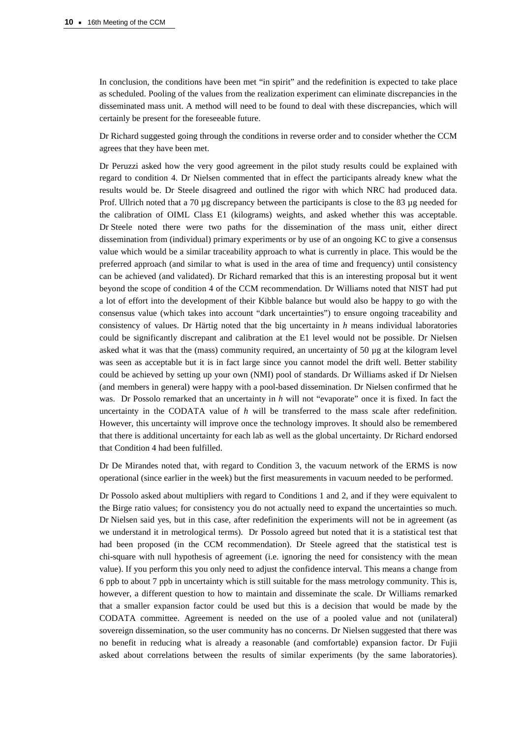In conclusion, the conditions have been met "in spirit" and the redefinition is expected to take place as scheduled. Pooling of the values from the realization experiment can eliminate discrepancies in the disseminated mass unit. A method will need to be found to deal with these discrepancies, which will certainly be present for the foreseeable future.

Dr Richard suggested going through the conditions in reverse order and to consider whether the CCM agrees that they have been met.

Dr Peruzzi asked how the very good agreement in the pilot study results could be explained with regard to condition 4. Dr Nielsen commented that in effect the participants already knew what the results would be. Dr Steele disagreed and outlined the rigor with which NRC had produced data. Prof. Ullrich noted that a 70 µg discrepancy between the participants is close to the 83 µg needed for the calibration of OIML Class E1 (kilograms) weights, and asked whether this was acceptable. Dr Steele noted there were two paths for the dissemination of the mass unit, either direct dissemination from (individual) primary experiments or by use of an ongoing KC to give a consensus value which would be a similar traceability approach to what is currently in place. This would be the preferred approach (and similar to what is used in the area of time and frequency) until consistency can be achieved (and validated). Dr Richard remarked that this is an interesting proposal but it went beyond the scope of condition 4 of the CCM recommendation. Dr Williams noted that NIST had put a lot of effort into the development of their Kibble balance but would also be happy to go with the consensus value (which takes into account "dark uncertainties") to ensure ongoing traceability and consistency of values. Dr Härtig noted that the big uncertainty in *h* means individual laboratories could be significantly discrepant and calibration at the E1 level would not be possible. Dr Nielsen asked what it was that the (mass) community required, an uncertainty of 50 µg at the kilogram level was seen as acceptable but it is in fact large since you cannot model the drift well. Better stability could be achieved by setting up your own (NMI) pool of standards. Dr Williams asked if Dr Nielsen (and members in general) were happy with a pool-based dissemination. Dr Nielsen confirmed that he was. Dr Possolo remarked that an uncertainty in *h* will not "evaporate" once it is fixed. In fact the uncertainty in the CODATA value of *h* will be transferred to the mass scale after redefinition. However, this uncertainty will improve once the technology improves. It should also be remembered that there is additional uncertainty for each lab as well as the global uncertainty. Dr Richard endorsed that Condition 4 had been fulfilled.

Dr De Mirandes noted that, with regard to Condition 3, the vacuum network of the ERMS is now operational (since earlier in the week) but the first measurements in vacuum needed to be performed.

Dr Possolo asked about multipliers with regard to Conditions 1 and 2, and if they were equivalent to the Birge ratio values; for consistency you do not actually need to expand the uncertainties so much. Dr Nielsen said yes, but in this case, after redefinition the experiments will not be in agreement (as we understand it in metrological terms). Dr Possolo agreed but noted that it is a statistical test that had been proposed (in the CCM recommendation). Dr Steele agreed that the statistical test is chi-square with null hypothesis of agreement (i.e. ignoring the need for consistency with the mean value). If you perform this you only need to adjust the confidence interval. This means a change from 6 ppb to about 7 ppb in uncertainty which is still suitable for the mass metrology community. This is, however, a different question to how to maintain and disseminate the scale. Dr Williams remarked that a smaller expansion factor could be used but this is a decision that would be made by the CODATA committee. Agreement is needed on the use of a pooled value and not (unilateral) sovereign dissemination, so the user community has no concerns. Dr Nielsen suggested that there was no benefit in reducing what is already a reasonable (and comfortable) expansion factor. Dr Fujii asked about correlations between the results of similar experiments (by the same laboratories).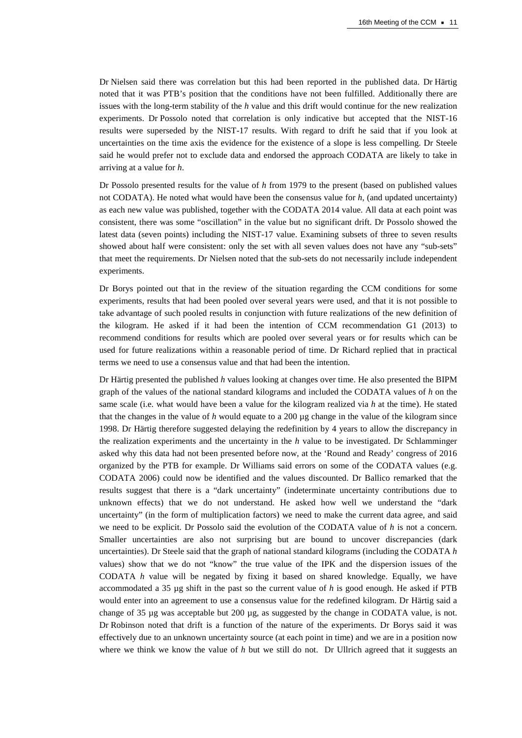Dr Nielsen said there was correlation but this had been reported in the published data. Dr Härtig noted that it was PTB's position that the conditions have not been fulfilled. Additionally there are issues with the long-term stability of the *h* value and this drift would continue for the new realization experiments. Dr Possolo noted that correlation is only indicative but accepted that the NIST-16 results were superseded by the NIST-17 results. With regard to drift he said that if you look at uncertainties on the time axis the evidence for the existence of a slope is less compelling. Dr Steele said he would prefer not to exclude data and endorsed the approach CODATA are likely to take in arriving at a value for *h*.

Dr Possolo presented results for the value of *h* from 1979 to the present (based on published values not CODATA). He noted what would have been the consensus value for *h*, (and updated uncertainty) as each new value was published, together with the CODATA 2014 value. All data at each point was consistent, there was some "oscillation" in the value but no significant drift. Dr Possolo showed the latest data (seven points) including the NIST-17 value. Examining subsets of three to seven results showed about half were consistent: only the set with all seven values does not have any "sub-sets" that meet the requirements. Dr Nielsen noted that the sub-sets do not necessarily include independent experiments.

Dr Borys pointed out that in the review of the situation regarding the CCM conditions for some experiments, results that had been pooled over several years were used, and that it is not possible to take advantage of such pooled results in conjunction with future realizations of the new definition of the kilogram. He asked if it had been the intention of CCM recommendation G1 (2013) to recommend conditions for results which are pooled over several years or for results which can be used for future realizations within a reasonable period of time. Dr Richard replied that in practical terms we need to use a consensus value and that had been the intention.

Dr Härtig presented the published *h* values looking at changes over time. He also presented the BIPM graph of the values of the national standard kilograms and included the CODATA values of *h* on the same scale (i.e. what would have been a value for the kilogram realized via *h* at the time). He stated that the changes in the value of *h* would equate to a 200 µg change in the value of the kilogram since 1998. Dr Härtig therefore suggested delaying the redefinition by 4 years to allow the discrepancy in the realization experiments and the uncertainty in the *h* value to be investigated. Dr Schlamminger asked why this data had not been presented before now, at the 'Round and Ready' congress of 2016 organized by the PTB for example. Dr Williams said errors on some of the CODATA values (e.g. CODATA 2006) could now be identified and the values discounted. Dr Ballico remarked that the results suggest that there is a "dark uncertainty" (indeterminate uncertainty contributions due to unknown effects) that we do not understand. He asked how well we understand the "dark uncertainty" (in the form of multiplication factors) we need to make the current data agree, and said we need to be explicit. Dr Possolo said the evolution of the CODATA value of *h* is not a concern. Smaller uncertainties are also not surprising but are bound to uncover discrepancies (dark uncertainties). Dr Steele said that the graph of national standard kilograms (including the CODATA *h* values) show that we do not "know" the true value of the IPK and the dispersion issues of the CODATA *h* value will be negated by fixing it based on shared knowledge. Equally, we have accommodated a 35 µg shift in the past so the current value of *h* is good enough. He asked if PTB would enter into an agreement to use a consensus value for the redefined kilogram. Dr Härtig said a change of 35 µg was acceptable but 200 µg, as suggested by the change in CODATA value, is not. Dr Robinson noted that drift is a function of the nature of the experiments. Dr Borys said it was effectively due to an unknown uncertainty source (at each point in time) and we are in a position now where we think we know the value of *h* but we still do not. Dr Ullrich agreed that it suggests an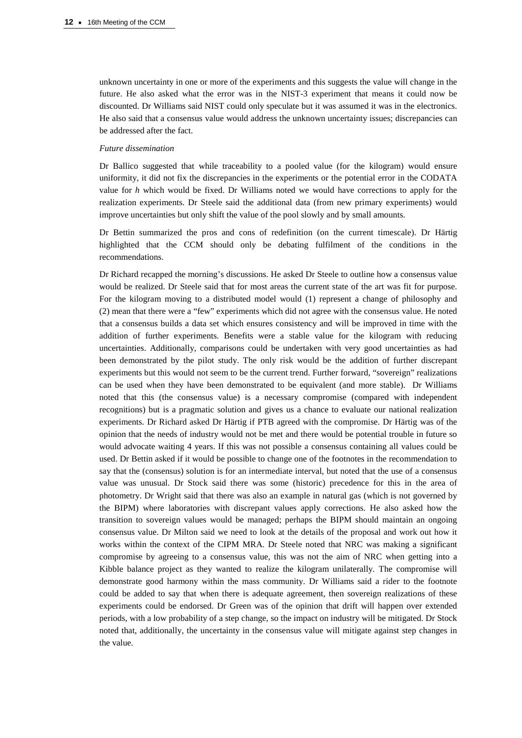unknown uncertainty in one or more of the experiments and this suggests the value will change in the future. He also asked what the error was in the NIST-3 experiment that means it could now be discounted. Dr Williams said NIST could only speculate but it was assumed it was in the electronics. He also said that a consensus value would address the unknown uncertainty issues; discrepancies can be addressed after the fact.

#### *Future dissemination*

Dr Ballico suggested that while traceability to a pooled value (for the kilogram) would ensure uniformity, it did not fix the discrepancies in the experiments or the potential error in the CODATA value for *h* which would be fixed. Dr Williams noted we would have corrections to apply for the realization experiments. Dr Steele said the additional data (from new primary experiments) would improve uncertainties but only shift the value of the pool slowly and by small amounts.

Dr Bettin summarized the pros and cons of redefinition (on the current timescale). Dr Härtig highlighted that the CCM should only be debating fulfilment of the conditions in the recommendations.

Dr Richard recapped the morning's discussions. He asked Dr Steele to outline how a consensus value would be realized. Dr Steele said that for most areas the current state of the art was fit for purpose. For the kilogram moving to a distributed model would (1) represent a change of philosophy and (2) mean that there were a "few" experiments which did not agree with the consensus value. He noted that a consensus builds a data set which ensures consistency and will be improved in time with the addition of further experiments. Benefits were a stable value for the kilogram with reducing uncertainties. Additionally, comparisons could be undertaken with very good uncertainties as had been demonstrated by the pilot study. The only risk would be the addition of further discrepant experiments but this would not seem to be the current trend. Further forward, "sovereign" realizations can be used when they have been demonstrated to be equivalent (and more stable). Dr Williams noted that this (the consensus value) is a necessary compromise (compared with independent recognitions) but is a pragmatic solution and gives us a chance to evaluate our national realization experiments. Dr Richard asked Dr Härtig if PTB agreed with the compromise. Dr Härtig was of the opinion that the needs of industry would not be met and there would be potential trouble in future so would advocate waiting 4 years. If this was not possible a consensus containing all values could be used. Dr Bettin asked if it would be possible to change one of the footnotes in the recommendation to say that the (consensus) solution is for an intermediate interval, but noted that the use of a consensus value was unusual. Dr Stock said there was some (historic) precedence for this in the area of photometry. Dr Wright said that there was also an example in natural gas (which is not governed by the BIPM) where laboratories with discrepant values apply corrections. He also asked how the transition to sovereign values would be managed; perhaps the BIPM should maintain an ongoing consensus value. Dr Milton said we need to look at the details of the proposal and work out how it works within the context of the CIPM MRA. Dr Steele noted that NRC was making a significant compromise by agreeing to a consensus value, this was not the aim of NRC when getting into a Kibble balance project as they wanted to realize the kilogram unilaterally. The compromise will demonstrate good harmony within the mass community. Dr Williams said a rider to the footnote could be added to say that when there is adequate agreement, then sovereign realizations of these experiments could be endorsed. Dr Green was of the opinion that drift will happen over extended periods, with a low probability of a step change, so the impact on industry will be mitigated. Dr Stock noted that, additionally, the uncertainty in the consensus value will mitigate against step changes in the value.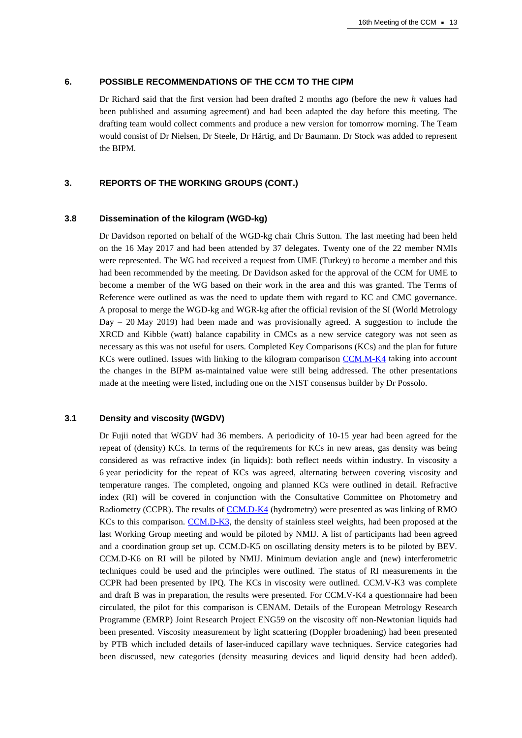## **6. POSSIBLE RECOMMENDATIONS OF THE CCM TO THE CIPM**

Dr Richard said that the first version had been drafted 2 months ago (before the new *h* values had been published and assuming agreement) and had been adapted the day before this meeting. The drafting team would collect comments and produce a new version for tomorrow morning. The Team would consist of Dr Nielsen, Dr Steele, Dr Härtig, and Dr Baumann. Dr Stock was added to represent the BIPM.

#### **3. REPORTS OF THE WORKING GROUPS (CONT.)**

#### **3.8 Dissemination of the kilogram (WGD-kg)**

Dr Davidson reported on behalf of the WGD-kg chair Chris Sutton. The last meeting had been held on the 16 May 2017 and had been attended by 37 delegates. Twenty one of the 22 member NMIs were represented. The WG had received a request from UME (Turkey) to become a member and this had been recommended by the meeting. Dr Davidson asked for the approval of the CCM for UME to become a member of the WG based on their work in the area and this was granted. The Terms of Reference were outlined as was the need to update them with regard to KC and CMC governance. A proposal to merge the WGD-kg and WGR-kg after the official revision of the SI (World Metrology Day – 20 May 2019) had been made and was provisionally agreed. A suggestion to include the XRCD and Kibble (watt) balance capability in CMCs as a new service category was not seen as necessary as this was not useful for users. Completed Key Comparisons (KCs) and the plan for future KCs were outlined. Issues with linking to the kilogram comparison [CCM.M-K4](http://kcdb.bipm.org/appendixB/KCDB_ApB_info.asp?cmp_idy=403&cmp_cod=CCM.M-K4&prov=exalead) taking into account the changes in the BIPM as-maintained value were still being addressed. The other presentations made at the meeting were listed, including one on the NIST consensus builder by Dr Possolo.

#### **3.1 Density and viscosity (WGDV)**

Dr Fujii noted that WGDV had 36 members. A periodicity of 10-15 year had been agreed for the repeat of (density) KCs. In terms of the requirements for KCs in new areas, gas density was being considered as was refractive index (in liquids): both reflect needs within industry. In viscosity a 6 year periodicity for the repeat of KCs was agreed, alternating between covering viscosity and temperature ranges. The completed, ongoing and planned KCs were outlined in detail. Refractive index (RI) will be covered in conjunction with the Consultative Committee on Photometry and Radiometry (CCPR). The results of [CCM.D-K4](http://kcdb.bipm.org/appendixB/KCDB_ApB_info.asp?cmp_idy=277&cmp_cod=CCM.D-K4&prov=exalead) (hydrometry) were presented as was linking of RMO KCs to this comparison. [CCM.D-K3,](http://kcdb.bipm.org/appendixB/KCDB_ApB_info.asp?cmp_idy=276&cmp_cod=CCM.D-K3&prov=exalead) the density of stainless steel weights, had been proposed at the last Working Group meeting and would be piloted by NMIJ. A list of participants had been agreed and a coordination group set up. CCM.D-K5 on oscillating density meters is to be piloted by BEV. CCM.D-K6 on RI will be piloted by NMIJ. Minimum deviation angle and (new) interferometric techniques could be used and the principles were outlined. The status of RI measurements in the CCPR had been presented by IPQ. The KCs in viscosity were outlined. CCM.V-K3 was complete and draft B was in preparation, the results were presented. For CCM.V-K4 a questionnaire had been circulated, the pilot for this comparison is CENAM. Details of the European Metrology Research Programme (EMRP) Joint Research Project ENG59 on the viscosity off non-Newtonian liquids had been presented. Viscosity measurement by light scattering (Doppler broadening) had been presented by PTB which included details of laser-induced capillary wave techniques. Service categories had been discussed, new categories (density measuring devices and liquid density had been added).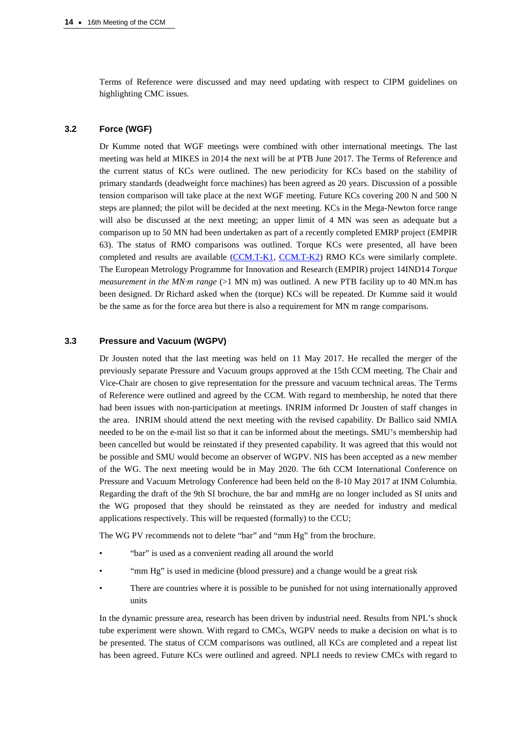Terms of Reference were discussed and may need updating with respect to CIPM guidelines on highlighting CMC issues.

## **3.2 Force (WGF)**

Dr Kumme noted that WGF meetings were combined with other international meetings. The last meeting was held at MIKES in 2014 the next will be at PTB June 2017. The Terms of Reference and the current status of KCs were outlined. The new periodicity for KCs based on the stability of primary standards (deadweight force machines) has been agreed as 20 years. Discussion of a possible tension comparison will take place at the next WGF meeting. Future KCs covering 200 N and 500 N steps are planned; the pilot will be decided at the next meeting. KCs in the Mega-Newton force range will also be discussed at the next meeting; an upper limit of 4 MN was seen as adequate but a comparison up to 50 MN had been undertaken as part of a recently completed EMRP project (EMPIR 63). The status of RMO comparisons was outlined. Torque KCs were presented, all have been completed and results are available [\(CCM.T-K1,](http://kcdb.bipm.org/appendixB/KCDB_ApB_info.asp?cmp_idy=704&cmp_cod=CCM.T-K1&prov=exalead) [CCM.T-K2\)](http://kcdb.bipm.org/appendixB/KCDB_ApB_info.asp?cmp_idy=705&cmp_cod=CCM.T-K2&prov=exalead) RMO KCs were similarly complete. The European Metrology Programme for Innovation and Research (EMPIR) project 14IND14 *Torque measurement in the MN·m range*  $(>1$  MN m) was outlined. A new PTB facility up to 40 MN.m has been designed. Dr Richard asked when the (torque) KCs will be repeated. Dr Kumme said it would be the same as for the force area but there is also a requirement for MN m range comparisons.

#### **3.3 Pressure and Vacuum (WGPV)**

Dr Jousten noted that the last meeting was held on 11 May 2017. He recalled the merger of the previously separate Pressure and Vacuum groups approved at the 15th CCM meeting. The Chair and Vice-Chair are chosen to give representation for the pressure and vacuum technical areas. The Terms of Reference were outlined and agreed by the CCM. With regard to membership, he noted that there had been issues with non-participation at meetings. INRIM informed Dr Jousten of staff changes in the area. INRIM should attend the next meeting with the revised capability. Dr Ballico said NMIA needed to be on the e-mail list so that it can be informed about the meetings. SMU's membership had been cancelled but would be reinstated if they presented capability. It was agreed that this would not be possible and SMU would become an observer of WGPV. NIS has been accepted as a new member of the WG. The next meeting would be in May 2020. The 6th CCM International Conference on Pressure and Vacuum Metrology Conference had been held on the 8-10 May 2017 at INM Columbia. Regarding the draft of the 9th SI brochure, the bar and mmHg are no longer included as SI units and the WG proposed that they should be reinstated as they are needed for industry and medical applications respectively. This will be requested (formally) to the CCU;

The WG PV recommends not to delete "bar" and "mm Hg" from the brochure.

- "bar" is used as a convenient reading all around the world
- "mm Hg" is used in medicine (blood pressure) and a change would be a great risk
- There are countries where it is possible to be punished for not using internationally approved units

In the dynamic pressure area, research has been driven by industrial need. Results from NPL's shock tube experiment were shown. With regard to CMCs, WGPV needs to make a decision on what is to be presented. The status of CCM comparisons was outlined, all KCs are completed and a repeat list has been agreed. Future KCs were outlined and agreed. NPLI needs to review CMCs with regard to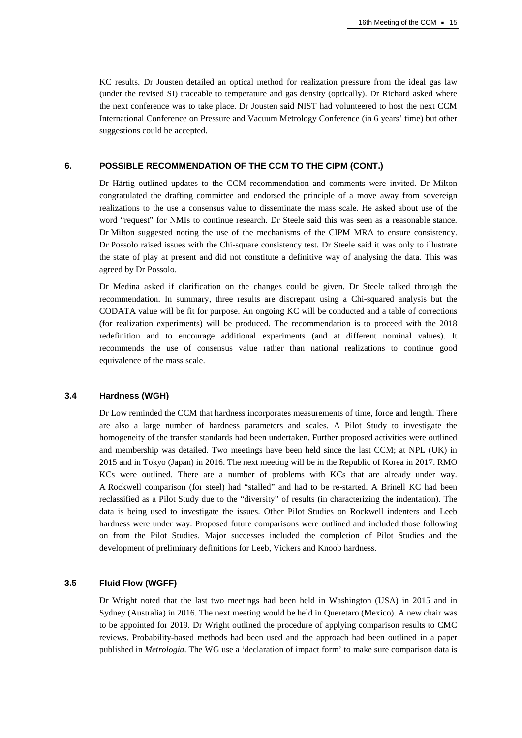KC results. Dr Jousten detailed an optical method for realization pressure from the ideal gas law (under the revised SI) traceable to temperature and gas density (optically). Dr Richard asked where the next conference was to take place. Dr Jousten said NIST had volunteered to host the next CCM International Conference on Pressure and Vacuum Metrology Conference (in 6 years' time) but other suggestions could be accepted.

#### **6. POSSIBLE RECOMMENDATION OF THE CCM TO THE CIPM (CONT.)**

Dr Härtig outlined updates to the CCM recommendation and comments were invited. Dr Milton congratulated the drafting committee and endorsed the principle of a move away from sovereign realizations to the use a consensus value to disseminate the mass scale. He asked about use of the word "request" for NMIs to continue research. Dr Steele said this was seen as a reasonable stance. Dr Milton suggested noting the use of the mechanisms of the CIPM MRA to ensure consistency. Dr Possolo raised issues with the Chi-square consistency test. Dr Steele said it was only to illustrate the state of play at present and did not constitute a definitive way of analysing the data. This was agreed by Dr Possolo.

Dr Medina asked if clarification on the changes could be given. Dr Steele talked through the recommendation. In summary, three results are discrepant using a Chi-squared analysis but the CODATA value will be fit for purpose. An ongoing KC will be conducted and a table of corrections (for realization experiments) will be produced. The recommendation is to proceed with the 2018 redefinition and to encourage additional experiments (and at different nominal values). It recommends the use of consensus value rather than national realizations to continue good equivalence of the mass scale.

#### **3.4 Hardness (WGH)**

Dr Low reminded the CCM that hardness incorporates measurements of time, force and length. There are also a large number of hardness parameters and scales. A Pilot Study to investigate the homogeneity of the transfer standards had been undertaken. Further proposed activities were outlined and membership was detailed. Two meetings have been held since the last CCM; at NPL (UK) in 2015 and in Tokyo (Japan) in 2016. The next meeting will be in the Republic of Korea in 2017. RMO KCs were outlined. There are a number of problems with KCs that are already under way. A Rockwell comparison (for steel) had "stalled" and had to be re-started. A Brinell KC had been reclassified as a Pilot Study due to the "diversity" of results (in characterizing the indentation). The data is being used to investigate the issues. Other Pilot Studies on Rockwell indenters and Leeb hardness were under way. Proposed future comparisons were outlined and included those following on from the Pilot Studies. Major successes included the completion of Pilot Studies and the development of preliminary definitions for Leeb, Vickers and Knoob hardness.

#### **3.5 Fluid Flow (WGFF)**

Dr Wright noted that the last two meetings had been held in Washington (USA) in 2015 and in Sydney (Australia) in 2016. The next meeting would be held in Queretaro (Mexico). A new chair was to be appointed for 2019. Dr Wright outlined the procedure of applying comparison results to CMC reviews. Probability-based methods had been used and the approach had been outlined in a paper published in *Metrologia*. The WG use a 'declaration of impact form' to make sure comparison data is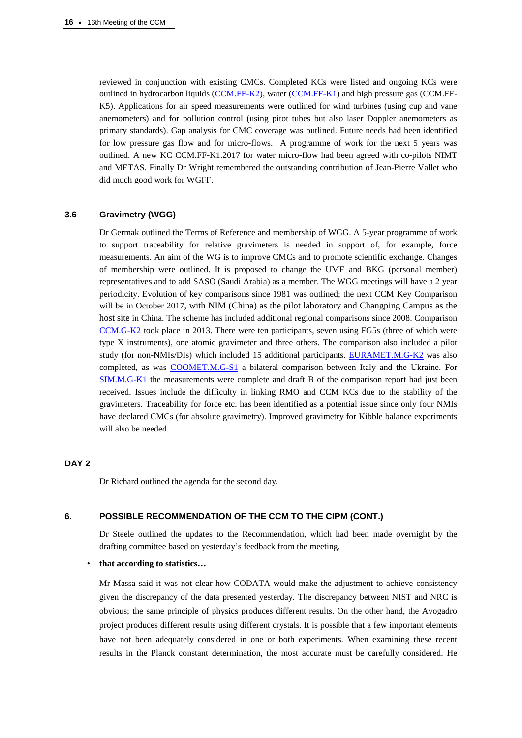reviewed in conjunction with existing CMCs. Completed KCs were listed and ongoing KCs were outlined in hydrocarbon liquids [\(CCM.FF-K2\)](http://kcdb.bipm.org/appendixB/KCDB_ApB_info.asp?cmp_idy=357&cmp_cod=CCM.FF-K2&prov=exalead), water [\(CCM.FF-K1\)](http://kcdb.bipm.org/appendixB/KCDB_ApB_info.asp?cmp_idy=343&cmp_cod=CCM.FF-K1&prov=exalead) and high pressure gas (CCM.FF-K5). Applications for air speed measurements were outlined for wind turbines (using cup and vane anemometers) and for pollution control (using pitot tubes but also laser Doppler anemometers as primary standards). Gap analysis for CMC coverage was outlined. Future needs had been identified for low pressure gas flow and for micro-flows. A programme of work for the next 5 years was outlined. A new KC CCM.FF-K1.2017 for water micro-flow had been agreed with co-pilots NIMT and METAS. Finally Dr Wright remembered the outstanding contribution of Jean-Pierre Vallet who did much good work for WGFF.

# **3.6 Gravimetry (WGG)**

Dr Germak outlined the Terms of Reference and membership of WGG. A 5-year programme of work to support traceability for relative gravimeters is needed in support of, for example, force measurements. An aim of the WG is to improve CMCs and to promote scientific exchange. Changes of membership were outlined. It is proposed to change the UME and BKG (personal member) representatives and to add SASO (Saudi Arabia) as a member. The WGG meetings will have a 2 year periodicity. Evolution of key comparisons since 1981 was outlined; the next CCM Key Comparison will be in October 2017, with NIM (China) as the pilot laboratory and Changping Campus as the host site in China. The scheme has included additional regional comparisons since 2008. Comparison [CCM.G-K2](http://kcdb.bipm.org/appendixB/KCDB_ApB_info.asp?cmp_idy=1289&cmp_cod=CCM.G-K2&prov=exalead) took place in 2013. There were ten participants, seven using FG5s (three of which were type X instruments), one atomic gravimeter and three others. The comparison also included a pilot study (for non-NMIs/DIs) which included 15 additional participants. [EURAMET.M.G-K2](http://kcdb.bipm.org/appendixB/KCDB_ApB_info.asp?cmp_idy=1500&cmp_cod=EURAMET.M.G-K2&prov=exalead) was also completed, as was [COOMET.M.G-S1](http://kcdb.bipm.org/appendixB/KCDB_ApB_info.asp?cmp_idy=1524&cmp_cod=COOMET.M.G-S1&prov=exalead) a bilateral comparison between Italy and the Ukraine. For [SIM.M.G-K1](http://kcdb.bipm.org/appendixB/KCDB_ApB_info.asp?cmp_idy=1548&cmp_cod=SIM.M.G-K1&prov=exalead) the measurements were complete and draft B of the comparison report had just been received. Issues include the difficulty in linking RMO and CCM KCs due to the stability of the gravimeters. Traceability for force etc. has been identified as a potential issue since only four NMIs have declared CMCs (for absolute gravimetry). Improved gravimetry for Kibble balance experiments will also be needed.

#### **DAY 2**

Dr Richard outlined the agenda for the second day.

## **6. POSSIBLE RECOMMENDATION OF THE CCM TO THE CIPM (CONT.)**

Dr Steele outlined the updates to the Recommendation, which had been made overnight by the drafting committee based on yesterday's feedback from the meeting.

#### • **that according to statistics…**

Mr Massa said it was not clear how CODATA would make the adjustment to achieve consistency given the discrepancy of the data presented yesterday. The discrepancy between NIST and NRC is obvious; the same principle of physics produces different results. On the other hand, the Avogadro project produces different results using different crystals. It is possible that a few important elements have not been adequately considered in one or both experiments. When examining these recent results in the Planck constant determination, the most accurate must be carefully considered. He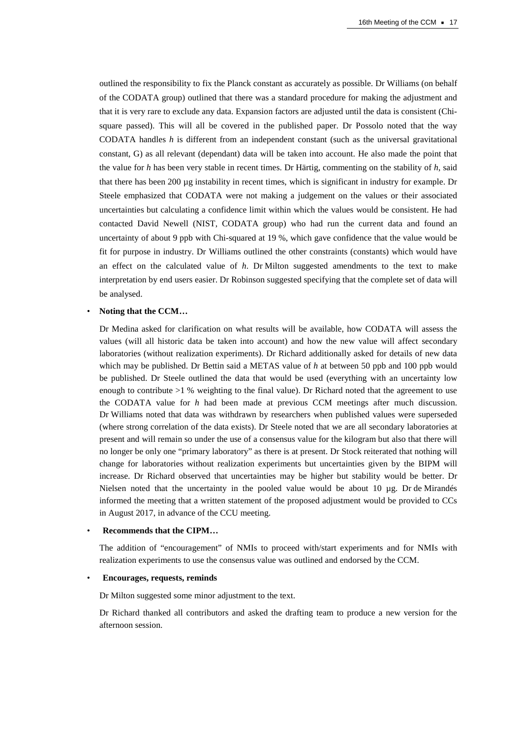outlined the responsibility to fix the Planck constant as accurately as possible. Dr Williams (on behalf of the CODATA group) outlined that there was a standard procedure for making the adjustment and that it is very rare to exclude any data. Expansion factors are adjusted until the data is consistent (Chisquare passed). This will all be covered in the published paper. Dr Possolo noted that the way CODATA handles *h* is different from an independent constant (such as the universal gravitational constant, G) as all relevant (dependant) data will be taken into account. He also made the point that the value for *h* has been very stable in recent times. Dr Härtig, commenting on the stability of *h*, said that there has been 200 µg instability in recent times, which is significant in industry for example. Dr Steele emphasized that CODATA were not making a judgement on the values or their associated uncertainties but calculating a confidence limit within which the values would be consistent. He had contacted David Newell (NIST, CODATA group) who had run the current data and found an uncertainty of about 9 ppb with Chi-squared at 19 %, which gave confidence that the value would be fit for purpose in industry. Dr Williams outlined the other constraints (constants) which would have an effect on the calculated value of *h*. Dr Milton suggested amendments to the text to make interpretation by end users easier. Dr Robinson suggested specifying that the complete set of data will be analysed.

#### • **Noting that the CCM…**

Dr Medina asked for clarification on what results will be available, how CODATA will assess the values (will all historic data be taken into account) and how the new value will affect secondary laboratories (without realization experiments). Dr Richard additionally asked for details of new data which may be published. Dr Bettin said a METAS value of *h* at between 50 ppb and 100 ppb would be published. Dr Steele outlined the data that would be used (everything with an uncertainty low enough to contribute >1 % weighting to the final value). Dr Richard noted that the agreement to use the CODATA value for *h* had been made at previous CCM meetings after much discussion. Dr Williams noted that data was withdrawn by researchers when published values were superseded (where strong correlation of the data exists). Dr Steele noted that we are all secondary laboratories at present and will remain so under the use of a consensus value for the kilogram but also that there will no longer be only one "primary laboratory" as there is at present. Dr Stock reiterated that nothing will change for laboratories without realization experiments but uncertainties given by the BIPM will increase. Dr Richard observed that uncertainties may be higher but stability would be better. Dr Nielsen noted that the uncertainty in the pooled value would be about 10 µg. Dr de Mirandés informed the meeting that a written statement of the proposed adjustment would be provided to CCs in August 2017, in advance of the CCU meeting.

#### • **Recommends that the CIPM…**

The addition of "encouragement" of NMIs to proceed with/start experiments and for NMIs with realization experiments to use the consensus value was outlined and endorsed by the CCM.

#### • **Encourages, requests, reminds**

Dr Milton suggested some minor adjustment to the text.

Dr Richard thanked all contributors and asked the drafting team to produce a new version for the afternoon session.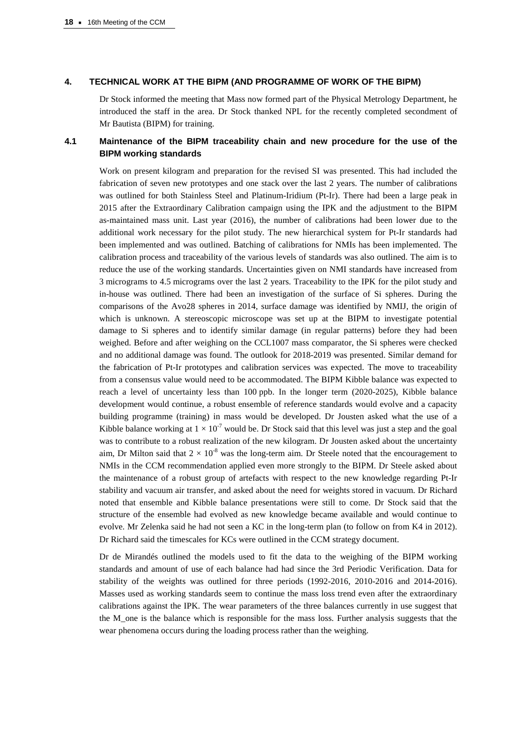#### **4. TECHNICAL WORK AT THE BIPM (AND PROGRAMME OF WORK OF THE BIPM)**

Dr Stock informed the meeting that Mass now formed part of the Physical Metrology Department, he introduced the staff in the area. Dr Stock thanked NPL for the recently completed secondment of Mr Bautista (BIPM) for training.

# **4.1 Maintenance of the BIPM traceability chain and new procedure for the use of the BIPM working standards**

Work on present kilogram and preparation for the revised SI was presented. This had included the fabrication of seven new prototypes and one stack over the last 2 years. The number of calibrations was outlined for both Stainless Steel and Platinum-Iridium (Pt-Ir). There had been a large peak in 2015 after the Extraordinary Calibration campaign using the IPK and the adjustment to the BIPM as-maintained mass unit. Last year (2016), the number of calibrations had been lower due to the additional work necessary for the pilot study. The new hierarchical system for Pt-Ir standards had been implemented and was outlined. Batching of calibrations for NMIs has been implemented. The calibration process and traceability of the various levels of standards was also outlined. The aim is to reduce the use of the working standards. Uncertainties given on NMI standards have increased from 3 micrograms to 4.5 micrograms over the last 2 years. Traceability to the IPK for the pilot study and in-house was outlined. There had been an investigation of the surface of Si spheres. During the comparisons of the Avo28 spheres in 2014, surface damage was identified by NMIJ, the origin of which is unknown. A stereoscopic microscope was set up at the BIPM to investigate potential damage to Si spheres and to identify similar damage (in regular patterns) before they had been weighed. Before and after weighing on the CCL1007 mass comparator, the Si spheres were checked and no additional damage was found. The outlook for 2018-2019 was presented. Similar demand for the fabrication of Pt-Ir prototypes and calibration services was expected. The move to traceability from a consensus value would need to be accommodated. The BIPM Kibble balance was expected to reach a level of uncertainty less than 100 ppb. In the longer term (2020-2025), Kibble balance development would continue, a robust ensemble of reference standards would evolve and a capacity building programme (training) in mass would be developed. Dr Jousten asked what the use of a Kibble balance working at  $1 \times 10^{-7}$  would be. Dr Stock said that this level was just a step and the goal was to contribute to a robust realization of the new kilogram. Dr Jousten asked about the uncertainty aim, Dr Milton said that  $2 \times 10^{-8}$  was the long-term aim. Dr Steele noted that the encouragement to NMIs in the CCM recommendation applied even more strongly to the BIPM. Dr Steele asked about the maintenance of a robust group of artefacts with respect to the new knowledge regarding Pt-Ir stability and vacuum air transfer, and asked about the need for weights stored in vacuum. Dr Richard noted that ensemble and Kibble balance presentations were still to come. Dr Stock said that the structure of the ensemble had evolved as new knowledge became available and would continue to evolve. Mr Zelenka said he had not seen a KC in the long-term plan (to follow on from K4 in 2012). Dr Richard said the timescales for KCs were outlined in the CCM strategy document.

Dr de Mirandés outlined the models used to fit the data to the weighing of the BIPM working standards and amount of use of each balance had had since the 3rd Periodic Verification. Data for stability of the weights was outlined for three periods (1992-2016, 2010-2016 and 2014-2016). Masses used as working standards seem to continue the mass loss trend even after the extraordinary calibrations against the IPK. The wear parameters of the three balances currently in use suggest that the M\_one is the balance which is responsible for the mass loss. Further analysis suggests that the wear phenomena occurs during the loading process rather than the weighing.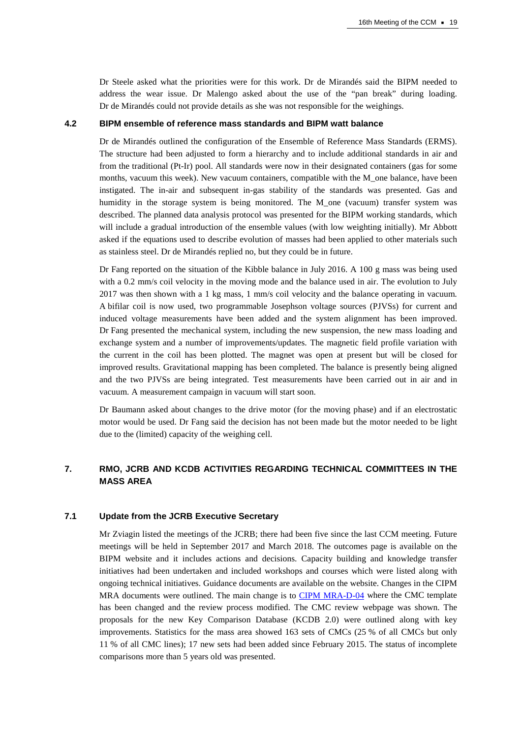Dr Steele asked what the priorities were for this work. Dr de Mirandés said the BIPM needed to address the wear issue. Dr Malengo asked about the use of the "pan break" during loading. Dr de Mirandés could not provide details as she was not responsible for the weighings.

#### **4.2 BIPM ensemble of reference mass standards and BIPM watt balance**

Dr de Mirandés outlined the configuration of the Ensemble of Reference Mass Standards (ERMS). The structure had been adjusted to form a hierarchy and to include additional standards in air and from the traditional (Pt-Ir) pool. All standards were now in their designated containers (gas for some months, vacuum this week). New vacuum containers, compatible with the M\_one balance, have been instigated. The in-air and subsequent in-gas stability of the standards was presented. Gas and humidity in the storage system is being monitored. The M\_one (vacuum) transfer system was described. The planned data analysis protocol was presented for the BIPM working standards, which will include a gradual introduction of the ensemble values (with low weighting initially). Mr Abbott asked if the equations used to describe evolution of masses had been applied to other materials such as stainless steel. Dr de Mirandés replied no, but they could be in future.

Dr Fang reported on the situation of the Kibble balance in July 2016. A 100 g mass was being used with a 0.2 mm/s coil velocity in the moving mode and the balance used in air. The evolution to July 2017 was then shown with a 1 kg mass, 1 mm/s coil velocity and the balance operating in vacuum. A bifilar coil is now used, two programmable Josephson voltage sources (PJVSs) for current and induced voltage measurements have been added and the system alignment has been improved. Dr Fang presented the mechanical system, including the new suspension, the new mass loading and exchange system and a number of improvements/updates. The magnetic field profile variation with the current in the coil has been plotted. The magnet was open at present but will be closed for improved results. Gravitational mapping has been completed. The balance is presently being aligned and the two PJVSs are being integrated. Test measurements have been carried out in air and in vacuum. A measurement campaign in vacuum will start soon.

Dr Baumann asked about changes to the drive motor (for the moving phase) and if an electrostatic motor would be used. Dr Fang said the decision has not been made but the motor needed to be light due to the (limited) capacity of the weighing cell.

# **7. RMO, JCRB AND KCDB ACTIVITIES REGARDING TECHNICAL COMMITTEES IN THE MASS AREA**

## **7.1 Update from the JCRB Executive Secretary**

Mr Zviagin listed the meetings of the JCRB; there had been five since the last CCM meeting. Future meetings will be held in September 2017 and March 2018. The outcomes page is available on the BIPM website and it includes actions and decisions. Capacity building and knowledge transfer initiatives had been undertaken and included workshops and courses which were listed along with ongoing technical initiatives. Guidance documents are available on the website. Changes in the CIPM MRA documents were outlined. The main change is to [CIPM MRA-D-04](http://www.bipm.org/utils/common/documents/CIPM-MRA/CIPM-MRA-D-04.pdf) where the CMC template has been changed and the review process modified. The CMC review webpage was shown. The proposals for the new Key Comparison Database (KCDB 2.0) were outlined along with key improvements. Statistics for the mass area showed 163 sets of CMCs (25 % of all CMCs but only 11 % of all CMC lines); 17 new sets had been added since February 2015. The status of incomplete comparisons more than 5 years old was presented.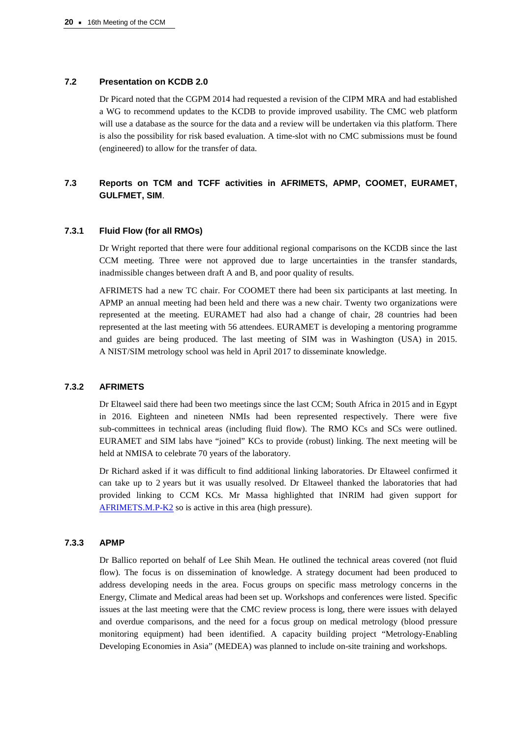## **7.2 Presentation on KCDB 2.0**

Dr Picard noted that the CGPM 2014 had requested a revision of the CIPM MRA and had established a WG to recommend updates to the KCDB to provide improved usability. The CMC web platform will use a database as the source for the data and a review will be undertaken via this platform. There is also the possibility for risk based evaluation. A time-slot with no CMC submissions must be found (engineered) to allow for the transfer of data.

# **7.3 Reports on TCM and TCFF activities in AFRIMETS, APMP, COOMET, EURAMET, GULFMET, SIM**.

#### **7.3.1 Fluid Flow (for all RMOs)**

Dr Wright reported that there were four additional regional comparisons on the KCDB since the last CCM meeting. Three were not approved due to large uncertainties in the transfer standards, inadmissible changes between draft A and B, and poor quality of results.

AFRIMETS had a new TC chair. For COOMET there had been six participants at last meeting. In APMP an annual meeting had been held and there was a new chair. Twenty two organizations were represented at the meeting. EURAMET had also had a change of chair, 28 countries had been represented at the last meeting with 56 attendees. EURAMET is developing a mentoring programme and guides are being produced. The last meeting of SIM was in Washington (USA) in 2015. A NIST/SIM metrology school was held in April 2017 to disseminate knowledge.

#### **7.3.2 AFRIMETS**

Dr Eltaweel said there had been two meetings since the last CCM; South Africa in 2015 and in Egypt in 2016. Eighteen and nineteen NMIs had been represented respectively. There were five sub-committees in technical areas (including fluid flow). The RMO KCs and SCs were outlined. EURAMET and SIM labs have "joined" KCs to provide (robust) linking. The next meeting will be held at NMISA to celebrate 70 years of the laboratory.

Dr Richard asked if it was difficult to find additional linking laboratories. Dr Eltaweel confirmed it can take up to 2 years but it was usually resolved. Dr Eltaweel thanked the laboratories that had provided linking to CCM KCs. Mr Massa highlighted that INRIM had given support for [AFRIMETS.M.P-K2](http://kcdb.bipm.org/appendixB/KCDB_ApB_info.asp?cmp_idy=1202&cmp_cod=AFRIMETS.M.P-K2&prov=exalead) so is active in this area (high pressure).

## **7.3.3 APMP**

Dr Ballico reported on behalf of Lee Shih Mean. He outlined the technical areas covered (not fluid flow). The focus is on dissemination of knowledge. A strategy document had been produced to address developing needs in the area. Focus groups on specific mass metrology concerns in the Energy, Climate and Medical areas had been set up. Workshops and conferences were listed. Specific issues at the last meeting were that the CMC review process is long, there were issues with delayed and overdue comparisons, and the need for a focus group on medical metrology (blood pressure monitoring equipment) had been identified. A capacity building project "Metrology-Enabling Developing Economies in Asia" (MEDEA) was planned to include on-site training and workshops.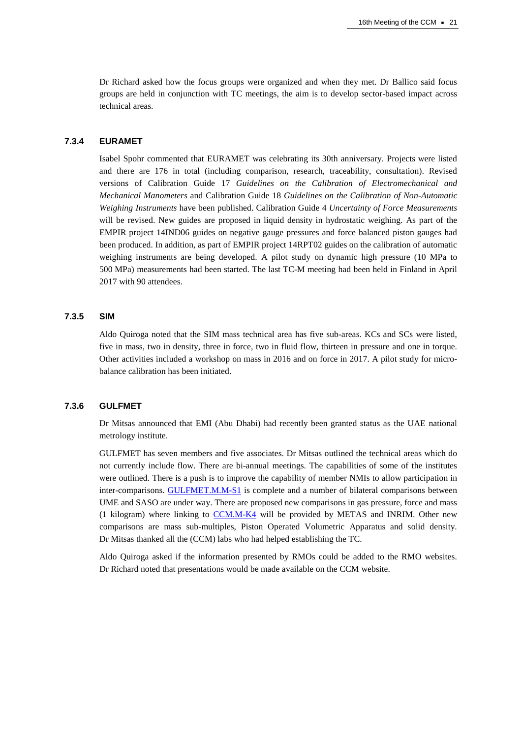Dr Richard asked how the focus groups were organized and when they met. Dr Ballico said focus groups are held in conjunction with TC meetings, the aim is to develop sector-based impact across technical areas.

## **7.3.4 EURAMET**

Isabel Spohr commented that EURAMET was celebrating its 30th anniversary. Projects were listed and there are 176 in total (including comparison, research, traceability, consultation). Revised versions of Calibration Guide 17 *Guidelines on the Calibration of Electromechanical and Mechanical Manometers* and Calibration Guide 18 *Guidelines on the Calibration of Non-Automatic Weighing Instruments* have been published. Calibration Guide 4 *Uncertainty of Force Measurements* will be revised. New guides are proposed in liquid density in hydrostatic weighing. As part of the EMPIR project 14IND06 guides on negative gauge pressures and force balanced piston gauges had been produced. In addition, as part of EMPIR project 14RPT02 guides on the calibration of automatic weighing instruments are being developed. A pilot study on dynamic high pressure (10 MPa to 500 MPa) measurements had been started. The last TC-M meeting had been held in Finland in April 2017 with 90 attendees.

## **7.3.5 SIM**

Aldo Quiroga noted that the SIM mass technical area has five sub-areas. KCs and SCs were listed, five in mass, two in density, three in force, two in fluid flow, thirteen in pressure and one in torque. Other activities included a workshop on mass in 2016 and on force in 2017. A pilot study for microbalance calibration has been initiated.

#### **7.3.6 GULFMET**

Dr Mitsas announced that EMI (Abu Dhabi) had recently been granted status as the UAE national metrology institute.

GULFMET has seven members and five associates. Dr Mitsas outlined the technical areas which do not currently include flow. There are bi-annual meetings. The capabilities of some of the institutes were outlined. There is a push is to improve the capability of member NMIs to allow participation in inter-comparisons. [GULFMET.M.M-S1](http://kcdb.bipm.org/appendixB/KCDB_ApB_info.asp?cmp_idy=1541&cmp_cod=GULFMET.M.M-S1&prov=exalead) is complete and a number of bilateral comparisons between UME and SASO are under way. There are proposed new comparisons in gas pressure, force and mass (1 kilogram) where linking to [CCM.M-K4](http://kcdb.bipm.org/appendixB/KCDB_ApB_info.asp?cmp_idy=403&cmp_cod=CCM.M-K4&prov=exalead) will be provided by METAS and INRIM. Other new comparisons are mass sub-multiples, Piston Operated Volumetric Apparatus and solid density. Dr Mitsas thanked all the (CCM) labs who had helped establishing the TC.

Aldo Quiroga asked if the information presented by RMOs could be added to the RMO websites. Dr Richard noted that presentations would be made available on the CCM website.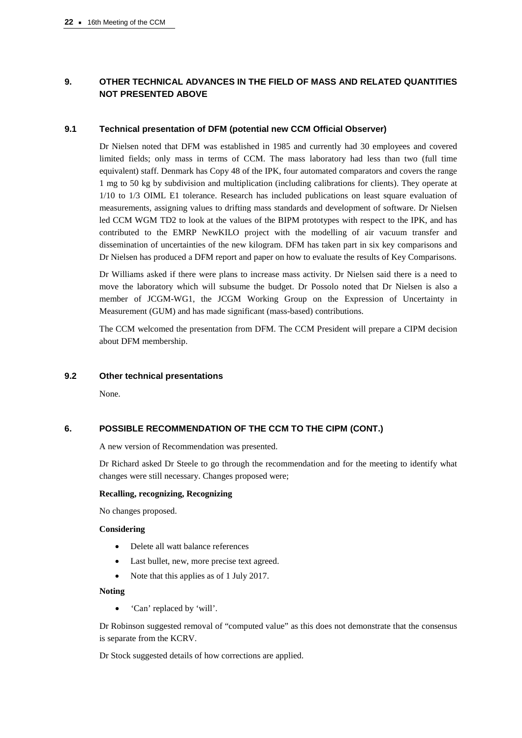# **9. OTHER TECHNICAL ADVANCES IN THE FIELD OF MASS AND RELATED QUANTITIES NOT PRESENTED ABOVE**

## **9.1 Technical presentation of DFM (potential new CCM Official Observer)**

Dr Nielsen noted that DFM was established in 1985 and currently had 30 employees and covered limited fields; only mass in terms of CCM. The mass laboratory had less than two (full time equivalent) staff. Denmark has Copy 48 of the IPK, four automated comparators and covers the range 1 mg to 50 kg by subdivision and multiplication (including calibrations for clients). They operate at 1/10 to 1/3 OIML E1 tolerance. Research has included publications on least square evaluation of measurements, assigning values to drifting mass standards and development of software. Dr Nielsen led CCM WGM TD2 to look at the values of the BIPM prototypes with respect to the IPK, and has contributed to the EMRP NewKILO project with the modelling of air vacuum transfer and dissemination of uncertainties of the new kilogram. DFM has taken part in six key comparisons and Dr Nielsen has produced a DFM report and paper on how to evaluate the results of Key Comparisons.

Dr Williams asked if there were plans to increase mass activity. Dr Nielsen said there is a need to move the laboratory which will subsume the budget. Dr Possolo noted that Dr Nielsen is also a member of JCGM-WG1, the JCGM Working Group on the Expression of Uncertainty in Measurement (GUM) and has made significant (mass-based) contributions.

The CCM welcomed the presentation from DFM. The CCM President will prepare a CIPM decision about DFM membership.

## **9.2 Other technical presentations**

None.

## **6. POSSIBLE RECOMMENDATION OF THE CCM TO THE CIPM (CONT.)**

A new version of Recommendation was presented.

Dr Richard asked Dr Steele to go through the recommendation and for the meeting to identify what changes were still necessary. Changes proposed were;

#### **Recalling, recognizing, Recognizing**

No changes proposed.

## **Considering**

- Delete all watt balance references
- Last bullet, new, more precise text agreed.
- Note that this applies as of 1 July 2017.

#### **Noting**

• 'Can' replaced by 'will'.

Dr Robinson suggested removal of "computed value" as this does not demonstrate that the consensus is separate from the KCRV.

Dr Stock suggested details of how corrections are applied.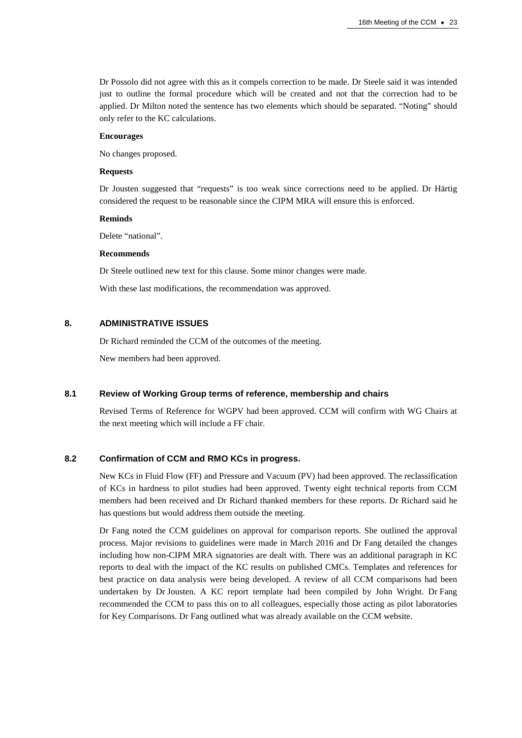Dr Possolo did not agree with this as it compels correction to be made. Dr Steele said it was intended just to outline the formal procedure which will be created and not that the correction had to be applied. Dr Milton noted the sentence has two elements which should be separated. "Noting" should only refer to the KC calculations.

#### **Encourages**

No changes proposed.

#### **Requests**

Dr Jousten suggested that "requests" is too weak since corrections need to be applied. Dr Härtig considered the request to be reasonable since the CIPM MRA will ensure this is enforced.

#### **Reminds**

Delete "national".

#### **Recommends**

Dr Steele outlined new text for this clause. Some minor changes were made.

With these last modifications, the recommendation was approved.

# **8. ADMINISTRATIVE ISSUES**

Dr Richard reminded the CCM of the outcomes of the meeting.

New members had been approved.

#### **8.1 Review of Working Group terms of reference, membership and chairs**

Revised Terms of Reference for WGPV had been approved. CCM will confirm with WG Chairs at the next meeting which will include a FF chair.

#### **8.2 Confirmation of CCM and RMO KCs in progress.**

New KCs in Fluid Flow (FF) and Pressure and Vacuum (PV) had been approved. The reclassification of KCs in hardness to pilot studies had been approved. Twenty eight technical reports from CCM members had been received and Dr Richard thanked members for these reports. Dr Richard said he has questions but would address them outside the meeting.

Dr Fang noted the CCM guidelines on approval for comparison reports. She outlined the approval process. Major revisions to guidelines were made in March 2016 and Dr Fang detailed the changes including how non-CIPM MRA signatories are dealt with. There was an additional paragraph in KC reports to deal with the impact of the KC results on published CMCs. Templates and references for best practice on data analysis were being developed. A review of all CCM comparisons had been undertaken by Dr Jousten. A KC report template had been compiled by John Wright. Dr Fang recommended the CCM to pass this on to all colleagues, especially those acting as pilot laboratories for Key Comparisons. Dr Fang outlined what was already available on the CCM website.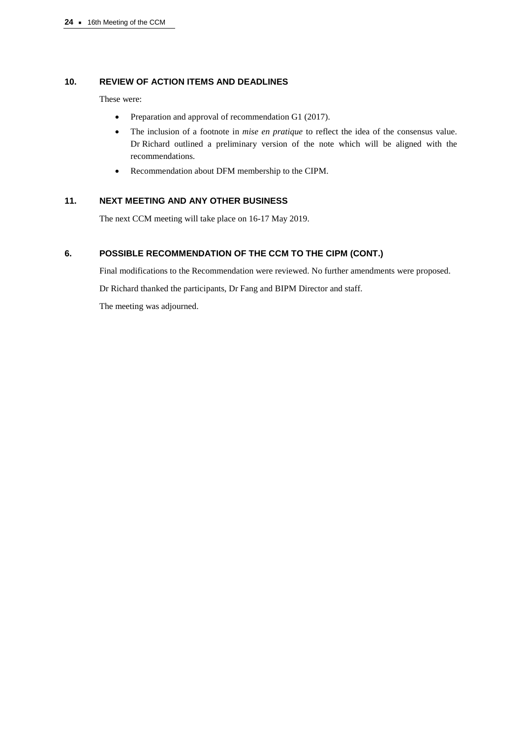## **10. REVIEW OF ACTION ITEMS AND DEADLINES**

These were:

- Preparation and approval of recommendation G1 (2017).
- The inclusion of a footnote in *mise en pratique* to reflect the idea of the consensus value. Dr Richard outlined a preliminary version of the note which will be aligned with the recommendations.
- Recommendation about DFM membership to the CIPM.

# **11. NEXT MEETING AND ANY OTHER BUSINESS**

The next CCM meeting will take place on 16-17 May 2019.

# **6. POSSIBLE RECOMMENDATION OF THE CCM TO THE CIPM (CONT.)**

Final modifications to the Recommendation were reviewed. No further amendments were proposed.

Dr Richard thanked the participants, Dr Fang and BIPM Director and staff.

The meeting was adjourned.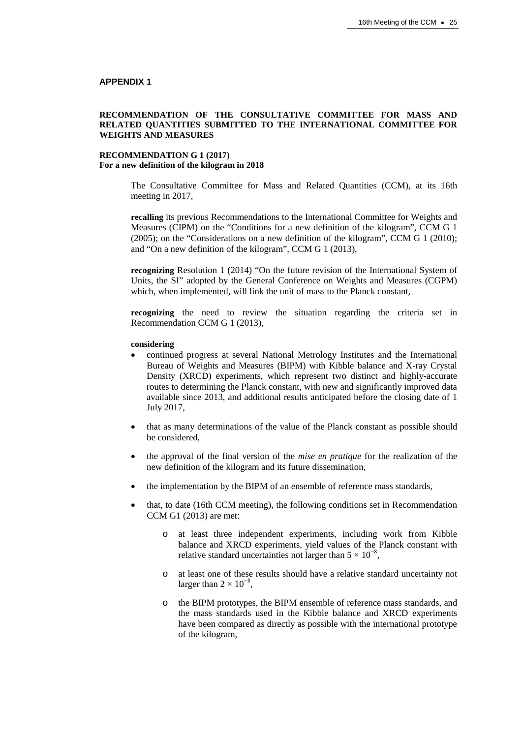#### **APPENDIX 1**

#### **RECOMMENDATION OF THE CONSULTATIVE COMMITTEE FOR MASS AND RELATED QUANTITIES SUBMITTED TO THE INTERNATIONAL COMMITTEE FOR WEIGHTS AND MEASURES**

#### **RECOMMENDATION G 1 (2017)**

#### **For a new definition of the kilogram in 2018**

The Consultative Committee for Mass and Related Quantities (CCM), at its 16th meeting in 2017,

**recalling** its previous Recommendations to the International Committee for Weights and Measures (CIPM) on the "Conditions for a new definition of the kilogram", CCM G 1 (2005); on the "Considerations on a new definition of the kilogram", CCM G 1 (2010); and "On a new definition of the kilogram", CCM G 1 (2013),

**recognizing** Resolution 1 (2014) "On the future revision of the International System of Units, the SI" adopted by the General Conference on Weights and Measures (CGPM) which, when implemented, will link the unit of mass to the Planck constant,

**recognizing** the need to review the situation regarding the criteria set in Recommendation CCM G 1 (2013),

#### **considering**

- continued progress at several National Metrology Institutes and the International Bureau of Weights and Measures (BIPM) with Kibble balance and X-ray Crystal Density (XRCD) experiments, which represent two distinct and highly-accurate routes to determining the Planck constant, with new and significantly improved data available since 2013, and additional results anticipated before the closing date of 1 July 2017,
- that as many determinations of the value of the Planck constant as possible should be considered,
- the approval of the final version of the *mise en pratique* for the realization of the new definition of the kilogram and its future dissemination,
- the implementation by the BIPM of an ensemble of reference mass standards,
- that, to date (16th CCM meeting), the following conditions set in Recommendation CCM G1 (2013) are met:
	- o at least three independent experiments, including work from Kibble balance and XRCD experiments, yield values of the Planck constant with relative standard uncertainties not larger than  $5 \times 10^{-8}$ ,
	- o at least one of these results should have a relative standard uncertainty not larger than  $2 \times 10^{-8}$ ,
	- o the BIPM prototypes, the BIPM ensemble of reference mass standards, and the mass standards used in the Kibble balance and XRCD experiments have been compared as directly as possible with the international prototype of the kilogram,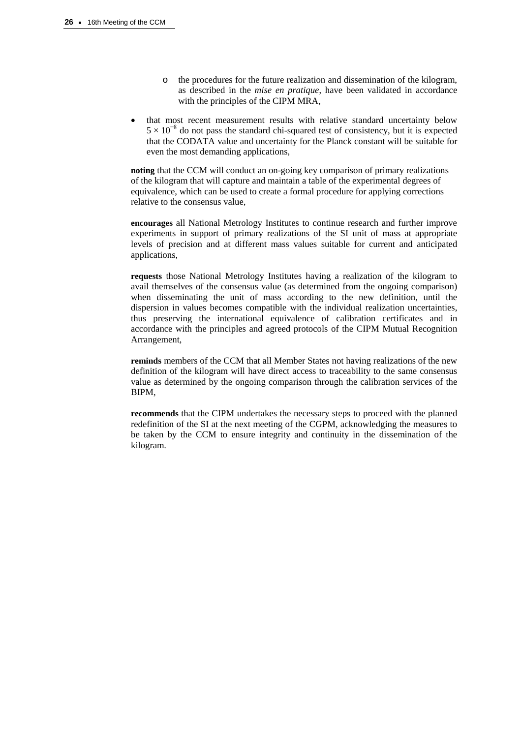- o the procedures for the future realization and dissemination of the kilogram, as described in the *mise en pratique*, have been validated in accordance with the principles of the CIPM MRA,
- that most recent measurement results with relative standard uncertainty below  $5 \times 10^{-8}$  do not pass the standard chi-squared test of consistency, but it is expected that the CODATA value and uncertainty for the Planck constant will be suitable for even the most demanding applications,

**noting** that the CCM will conduct an on-going key comparison of primary realizations of the kilogram that will capture and maintain a table of the experimental degrees of equivalence, which can be used to create a formal procedure for applying corrections relative to the consensus value,

**encourages** all National Metrology Institutes to continue research and further improve experiments in support of primary realizations of the SI unit of mass at appropriate levels of precision and at different mass values suitable for current and anticipated applications,

**requests** those National Metrology Institutes having a realization of the kilogram to avail themselves of the consensus value (as determined from the ongoing comparison) when disseminating the unit of mass according to the new definition, until the dispersion in values becomes compatible with the individual realization uncertainties, thus preserving the international equivalence of calibration certificates and in accordance with the principles and agreed protocols of the CIPM Mutual Recognition Arrangement,

**reminds** members of the CCM that all Member States not having realizations of the new definition of the kilogram will have direct access to traceability to the same consensus value as determined by the ongoing comparison through the calibration services of the BIPM,

**recommends** that the CIPM undertakes the necessary steps to proceed with the planned redefinition of the SI at the next meeting of the CGPM, acknowledging the measures to be taken by the CCM to ensure integrity and continuity in the dissemination of the kilogram.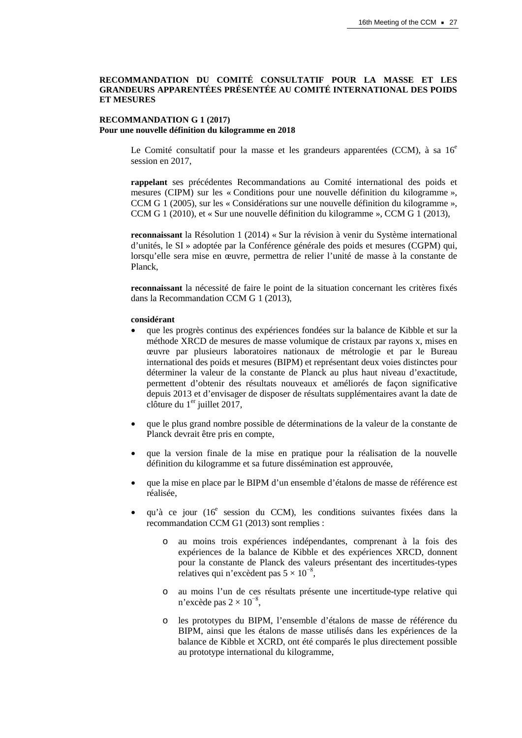#### **RECOMMANDATION DU COMITÉ CONSULTATIF POUR LA MASSE ET LES GRANDEURS APPARENTÉES PRÉSENTÉE AU COMITÉ INTERNATIONAL DES POIDS ET MESURES**

#### **RECOMMANDATION G 1 (2017) Pour une nouvelle définition du kilogramme en 2018**

Le Comité consultatif pour la masse et les grandeurs apparentées (CCM), à sa  $16^{\circ}$ session en 2017,

**rappelant** ses précédentes Recommandations au Comité international des poids et mesures (CIPM) sur les « Conditions pour une nouvelle définition du kilogramme », CCM G 1 (2005), sur les « Considérations sur une nouvelle définition du kilogramme », CCM G 1 (2010), et « Sur une nouvelle définition du kilogramme », CCM G 1 (2013),

**reconnaissant** la Résolution 1 (2014) « Sur la révision à venir du Système international d'unités, le SI » adoptée par la Conférence générale des poids et mesures (CGPM) qui, lorsqu'elle sera mise en œuvre, permettra de relier l'unité de masse à la constante de Planck,

**reconnaissant** la nécessité de faire le point de la situation concernant les critères fixés dans la Recommandation CCM G 1 (2013),

#### **considérant**

- que les progrès continus des expériences fondées sur la balance de Kibble et sur la méthode XRCD de mesures de masse volumique de cristaux par rayons x, mises en œuvre par plusieurs laboratoires nationaux de métrologie et par le Bureau international des poids et mesures (BIPM) et représentant deux voies distinctes pour déterminer la valeur de la constante de Planck au plus haut niveau d'exactitude, permettent d'obtenir des résultats nouveaux et améliorés de façon significative depuis 2013 et d'envisager de disposer de résultats supplémentaires avant la date de clôture du 1<sup>er</sup> juillet 2017,
- que le plus grand nombre possible de déterminations de la valeur de la constante de Planck devrait être pris en compte,
- que la version finale de la mise en pratique pour la réalisation de la nouvelle définition du kilogramme et sa future dissémination est approuvée,
- que la mise en place par le BIPM d'un ensemble d'étalons de masse de référence est réalisée,
- qu'à ce jour  $(16^e)$  session du CCM), les conditions suivantes fixées dans la recommandation CCM G1 (2013) sont remplies :
	- o au moins trois expériences indépendantes, comprenant à la fois des expériences de la balance de Kibble et des expériences XRCD, donnent pour la constante de Planck des valeurs présentant des incertitudes-types relatives qui n'excèdent pas  $5 \times 10^{-8}$ ,
	- o au moins l'un de ces résultats présente une incertitude-type relative qui n'excède pas  $2 \times 10^{-8}$ ,
	- o les prototypes du BIPM, l'ensemble d'étalons de masse de référence du BIPM, ainsi que les étalons de masse utilisés dans les expériences de la balance de Kibble et XCRD, ont été comparés le plus directement possible au prototype international du kilogramme,